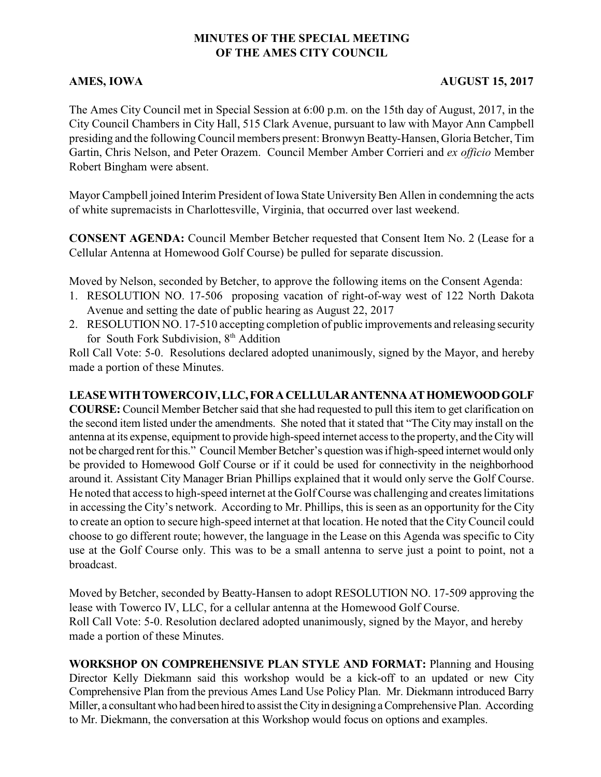# **MINUTES OF THE SPECIAL MEETING OF THE AMES CITY COUNCIL**

## **AMES, IOWA AUGUST 15, 2017**

The Ames City Council met in Special Session at 6:00 p.m. on the 15th day of August, 2017, in the City Council Chambers in City Hall, 515 Clark Avenue, pursuant to law with Mayor Ann Campbell presiding and the followingCouncil members present: Bronwyn Beatty-Hansen, Gloria Betcher, Tim Gartin, Chris Nelson, and Peter Orazem. Council Member Amber Corrieri and *ex officio* Member Robert Bingham were absent.

Mayor Campbell joined Interim President of Iowa State University Ben Allen in condemning the acts of white supremacists in Charlottesville, Virginia, that occurred over last weekend.

**CONSENT AGENDA:** Council Member Betcher requested that Consent Item No. 2 (Lease for a Cellular Antenna at Homewood Golf Course) be pulled for separate discussion.

Moved by Nelson, seconded by Betcher, to approve the following items on the Consent Agenda:

- 1. RESOLUTION NO. 17-506 proposing vacation of right-of-way west of 122 North Dakota Avenue and setting the date of public hearing as August 22, 2017
- 2. RESOLUTION NO. 17-510 accepting completion of public improvements and releasing security for South Fork Subdivision, 8<sup>th</sup> Addition

Roll Call Vote: 5-0. Resolutions declared adopted unanimously, signed by the Mayor, and hereby made a portion of these Minutes.

## **LEASEWITHTOWERCOIV,LLC,FORACELLULARANTENNAATHOMEWOODGOLF**

**COURSE:** Council Member Betcher said that she had requested to pull this item to get clarification on the second item listed under the amendments. She noted that it stated that "The City may install on the antenna at its expense, equipment to provide high-speed internet accessto the property, and theCitywill not be charged rent for this." Council Member Betcher's question was if high-speed internet would only be provided to Homewood Golf Course or if it could be used for connectivity in the neighborhood around it. Assistant City Manager Brian Phillips explained that it would only serve the Golf Course. He noted that access to high-speed internet at the Golf Course was challenging and creates limitations in accessing the City's network. According to Mr. Phillips, this is seen as an opportunity for the City to create an option to secure high-speed internet at that location. He noted that the City Council could choose to go different route; however, the language in the Lease on this Agenda was specific to City use at the Golf Course only. This was to be a small antenna to serve just a point to point, not a broadcast.

Moved by Betcher, seconded by Beatty-Hansen to adopt RESOLUTION NO. 17-509 approving the lease with Towerco IV, LLC, for a cellular antenna at the Homewood Golf Course. Roll Call Vote: 5-0. Resolution declared adopted unanimously, signed by the Mayor, and hereby made a portion of these Minutes.

**WORKSHOP ON COMPREHENSIVE PLAN STYLE AND FORMAT:** Planning and Housing Director Kelly Diekmann said this workshop would be a kick-off to an updated or new City Comprehensive Plan from the previous Ames Land Use Policy Plan. Mr. Diekmann introduced Barry Miller, a consultant who had been hired to assist the City in designing a Comprehensive Plan. According to Mr. Diekmann, the conversation at this Workshop would focus on options and examples.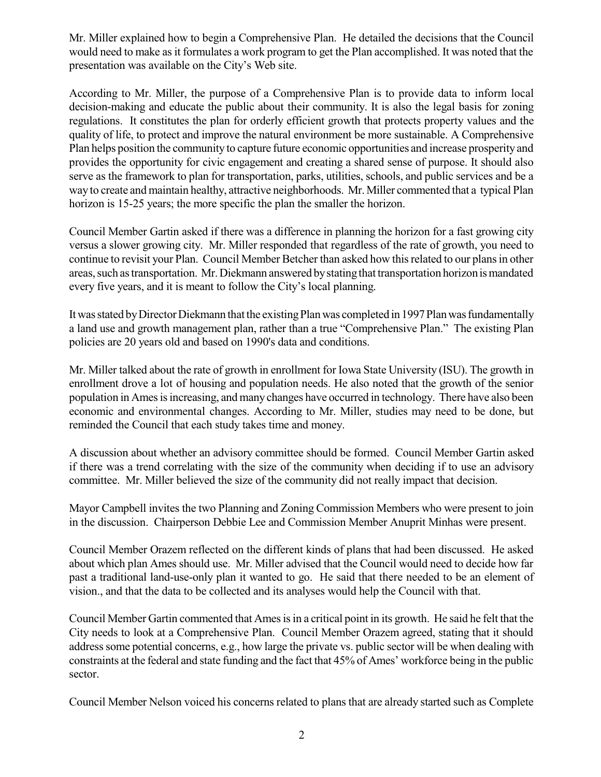Mr. Miller explained how to begin a Comprehensive Plan. He detailed the decisions that the Council would need to make as it formulates a work program to get the Plan accomplished. It was noted that the presentation was available on the City's Web site.

According to Mr. Miller, the purpose of a Comprehensive Plan is to provide data to inform local decision-making and educate the public about their community. It is also the legal basis for zoning regulations. It constitutes the plan for orderly efficient growth that protects property values and the quality of life, to protect and improve the natural environment be more sustainable. A Comprehensive Plan helps position the community to capture future economic opportunities and increase prosperityand provides the opportunity for civic engagement and creating a shared sense of purpose. It should also serve as the framework to plan for transportation, parks, utilities, schools, and public services and be a way to create and maintain healthy, attractive neighborhoods. Mr. Miller commented that a typical Plan horizon is 15-25 years; the more specific the plan the smaller the horizon.

Council Member Gartin asked if there was a difference in planning the horizon for a fast growing city versus a slower growing city. Mr. Miller responded that regardless of the rate of growth, you need to continue to revisit your Plan. Council Member Betcher than asked how this related to our plans in other areas, such as transportation. Mr. Diekmann answered by stating that transportation horizon is mandated every five years, and it is meant to follow the City's local planning.

It was stated by Director Diekmann that the existing Plan was completed in 1997 Plan was fundamentally a land use and growth management plan, rather than a true "Comprehensive Plan." The existing Plan policies are 20 years old and based on 1990's data and conditions.

Mr. Miller talked about the rate of growth in enrollment for Iowa State University (ISU). The growth in enrollment drove a lot of housing and population needs. He also noted that the growth of the senior population in Ames is increasing, and many changes have occurred in technology. There have also been economic and environmental changes. According to Mr. Miller, studies may need to be done, but reminded the Council that each study takes time and money.

A discussion about whether an advisory committee should be formed. Council Member Gartin asked if there was a trend correlating with the size of the community when deciding if to use an advisory committee. Mr. Miller believed the size of the community did not really impact that decision.

Mayor Campbell invites the two Planning and Zoning Commission Members who were present to join in the discussion. Chairperson Debbie Lee and Commission Member Anuprit Minhas were present.

Council Member Orazem reflected on the different kinds of plans that had been discussed. He asked about which plan Ames should use. Mr. Miller advised that the Council would need to decide how far past a traditional land-use-only plan it wanted to go. He said that there needed to be an element of vision., and that the data to be collected and its analyses would help the Council with that.

Council Member Gartin commented that Ames is in a critical point in its growth. He said he felt that the City needs to look at a Comprehensive Plan. Council Member Orazem agreed, stating that it should address some potential concerns, e.g., how large the private vs. public sector will be when dealing with constraints at the federal and state funding and the fact that 45% of Ames' workforce being in the public sector.

Council Member Nelson voiced his concerns related to plans that are already started such as Complete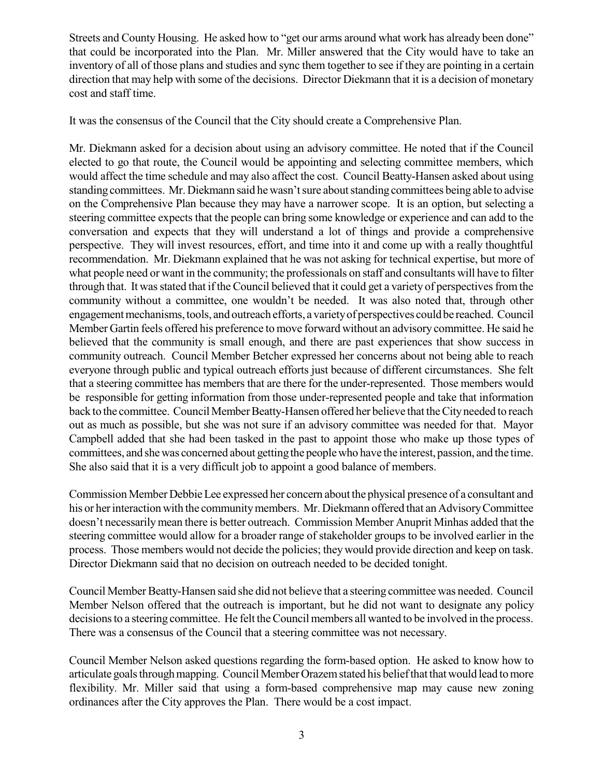Streets and County Housing. He asked how to "get our arms around what work has already been done" that could be incorporated into the Plan. Mr. Miller answered that the City would have to take an inventory of all of those plans and studies and sync them together to see if they are pointing in a certain direction that may help with some of the decisions. Director Diekmann that it is a decision of monetary cost and staff time.

It was the consensus of the Council that the City should create a Comprehensive Plan.

Mr. Diekmann asked for a decision about using an advisory committee. He noted that if the Council elected to go that route, the Council would be appointing and selecting committee members, which would affect the time schedule and may also affect the cost. Council Beatty-Hansen asked about using standing committees. Mr. Diekmann said he wasn'tsure aboutstanding committees being able to advise on the Comprehensive Plan because they may have a narrower scope. It is an option, but selecting a steering committee expects that the people can bring some knowledge or experience and can add to the conversation and expects that they will understand a lot of things and provide a comprehensive perspective. They will invest resources, effort, and time into it and come up with a really thoughtful recommendation. Mr. Diekmann explained that he was not asking for technical expertise, but more of what people need or want in the community; the professionals on staff and consultants will have to filter through that. It was stated that if the Council believed that it could get a variety of perspectives from the community without a committee, one wouldn't be needed. It was also noted that, through other engagement mechanisms, tools, and outreach efforts, a variety of perspectives could be reached. Council Member Gartin feels offered his preference to move forward without an advisory committee. He said he believed that the community is small enough, and there are past experiences that show success in community outreach. Council Member Betcher expressed her concerns about not being able to reach everyone through public and typical outreach efforts just because of different circumstances. She felt that a steering committee has members that are there for the under-represented. Those members would be responsible for getting information from those under-represented people and take that information back to the committee. Council Member Beatty-Hansen offered her believe that the City needed to reach out as much as possible, but she was not sure if an advisory committee was needed for that. Mayor Campbell added that she had been tasked in the past to appoint those who make up those types of committees, and she was concerned about getting the people who have the interest, passion, and the time. She also said that it is a very difficult job to appoint a good balance of members.

Commission Member DebbieLee expressed her concern about the physical presence of a consultant and his or her interaction with the community members. Mr. Diekmann offered that an Advisory Committee doesn't necessarilymean there is better outreach. Commission Member Anuprit Minhas added that the steering committee would allow for a broader range of stakeholder groups to be involved earlier in the process. Those members would not decide the policies; they would provide direction and keep on task. Director Diekmann said that no decision on outreach needed to be decided tonight.

Council Member Beatty-Hansen said she did not believe that a steering committee was needed. Council Member Nelson offered that the outreach is important, but he did not want to designate any policy decisions to a steering committee. He felt the Council members all wanted to be involved in the process. There was a consensus of the Council that a steering committee was not necessary.

Council Member Nelson asked questions regarding the form-based option. He asked to know how to articulate goals through mapping. Council Member Orazem stated his belief that that would lead to more flexibility. Mr. Miller said that using a form-based comprehensive map may cause new zoning ordinances after the City approves the Plan. There would be a cost impact.